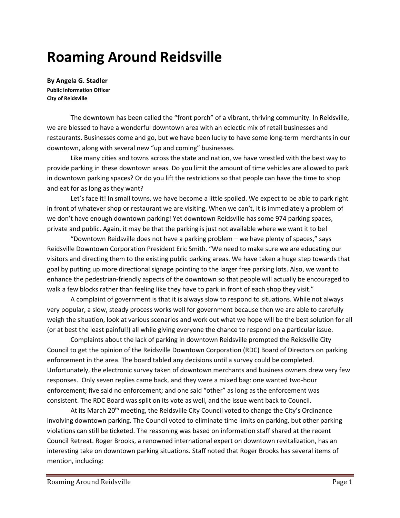# **Roaming Around Reidsville**

**By Angela G. Stadler Public Information Officer City of Reidsville**

The downtown has been called the "front porch" of a vibrant, thriving community. In Reidsville, we are blessed to have a wonderful downtown area with an eclectic mix of retail businesses and restaurants. Businesses come and go, but we have been lucky to have some long-term merchants in our downtown, along with several new "up and coming" businesses.

Like many cities and towns across the state and nation, we have wrestled with the best way to provide parking in these downtown areas. Do you limit the amount of time vehicles are allowed to park in downtown parking spaces? Or do you lift the restrictions so that people can have the time to shop and eat for as long as they want?

Let's face it! In small towns, we have become a little spoiled. We expect to be able to park right in front of whatever shop or restaurant we are visiting. When we can't, it is immediately a problem of we don't have enough downtown parking! Yet downtown Reidsville has some 974 parking spaces, private and public. Again, it may be that the parking is just not available where we want it to be!

"Downtown Reidsville does not have a parking problem – we have plenty of spaces," says Reidsville Downtown Corporation President Eric Smith. "We need to make sure we are educating our visitors and directing them to the existing public parking areas. We have taken a huge step towards that goal by putting up more directional signage pointing to the larger free parking lots. Also, we want to enhance the pedestrian-friendly aspects of the downtown so that people will actually be encouraged to walk a few blocks rather than feeling like they have to park in front of each shop they visit."

A complaint of government is that it is always slow to respond to situations. While not always very popular, a slow, steady process works well for government because then we are able to carefully weigh the situation, look at various scenarios and work out what we hope will be the best solution for all (or at best the least painful!) all while giving everyone the chance to respond on a particular issue.

Complaints about the lack of parking in downtown Reidsville prompted the Reidsville City Council to get the opinion of the Reidsville Downtown Corporation (RDC) Board of Directors on parking enforcement in the area. The board tabled any decisions until a survey could be completed. Unfortunately, the electronic survey taken of downtown merchants and business owners drew very few responses. Only seven replies came back, and they were a mixed bag: one wanted two-hour enforcement; five said no enforcement; and one said "other" as long as the enforcement was consistent. The RDC Board was split on its vote as well, and the issue went back to Council.

At its March 20<sup>th</sup> meeting, the Reidsville City Council voted to change the City's Ordinance involving downtown parking. The Council voted to eliminate time limits on parking, but other parking violations can still be ticketed. The reasoning was based on information staff shared at the recent Council Retreat. Roger Brooks, a renowned international expert on downtown revitalization, has an interesting take on downtown parking situations. Staff noted that Roger Brooks has several items of mention, including: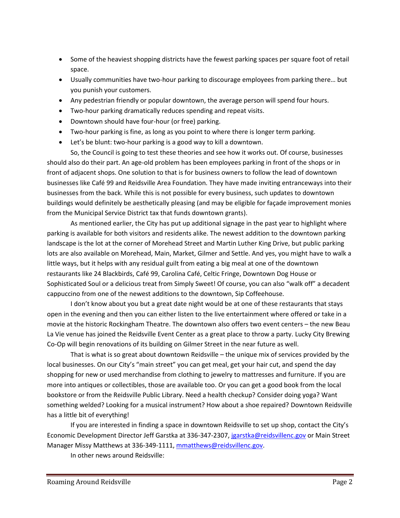- Some of the heaviest shopping districts have the fewest parking spaces per square foot of retail space.
- Usually communities have two-hour parking to discourage employees from parking there… but you punish your customers.
- Any pedestrian friendly or popular downtown, the average person will spend four hours.
- Two-hour parking dramatically reduces spending and repeat visits.
- Downtown should have four-hour (or free) parking.
- Two-hour parking is fine, as long as you point to where there is longer term parking.
- Let's be blunt: two-hour parking is a good way to kill a downtown.

So, the Council is going to test these theories and see how it works out. Of course, businesses should also do their part. An age-old problem has been employees parking in front of the shops or in front of adjacent shops. One solution to that is for business owners to follow the lead of downtown businesses like Café 99 and Reidsville Area Foundation. They have made inviting entranceways into their businesses from the back. While this is not possible for every business, such updates to downtown buildings would definitely be aesthetically pleasing (and may be eligible for façade improvement monies from the Municipal Service District tax that funds downtown grants).

As mentioned earlier, the City has put up additional signage in the past year to highlight where parking is available for both visitors and residents alike. The newest addition to the downtown parking landscape is the lot at the corner of Morehead Street and Martin Luther King Drive, but public parking lots are also available on Morehead, Main, Market, Gilmer and Settle. And yes, you might have to walk a little ways, but it helps with any residual guilt from eating a big meal at one of the downtown restaurants like 24 Blackbirds, Café 99, Carolina Café, Celtic Fringe, Downtown Dog House or Sophisticated Soul or a delicious treat from Simply Sweet! Of course, you can also "walk off" a decadent cappuccino from one of the newest additions to the downtown, Sip Coffeehouse.

I don't know about you but a great date night would be at one of these restaurants that stays open in the evening and then you can either listen to the live entertainment where offered or take in a movie at the historic Rockingham Theatre. The downtown also offers two event centers – the new Beau La Vie venue has joined the Reidsville Event Center as a great place to throw a party. Lucky City Brewing Co-Op will begin renovations of its building on Gilmer Street in the near future as well.

That is what is so great about downtown Reidsville – the unique mix of services provided by the local businesses. On our City's "main street" you can get meal, get your hair cut, and spend the day shopping for new or used merchandise from clothing to jewelry to mattresses and furniture. If you are more into antiques or collectibles, those are available too. Or you can get a good book from the local bookstore or from the Reidsville Public Library. Need a health checkup? Consider doing yoga? Want something welded? Looking for a musical instrument? How about a shoe repaired? Downtown Reidsville has a little bit of everything!

If you are interested in finding a space in downtown Reidsville to set up shop, contact the City's Economic Development Director Jeff Garstka at 336-347-2307, [jgarstka@reidsvillenc.gov](mailto:jgarstka@reidsvillenc.gov) or Main Street Manager Missy Matthews at 336-349-1111, [mmatthews@reidsvillenc.gov.](mailto:mmatthews@reidsvillenc.gov)

In other news around Reidsville: